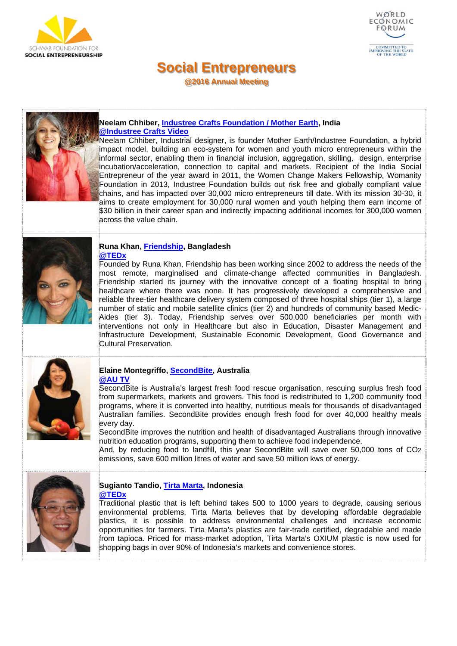



**@2016 Annual Meeting** 



### **Neelam Chhiber, Industree Crafts Foundation / Mother Earth, India @Industree Crafts Video**

Neelam Chhiber, Industrial designer, is founder Mother Earth/Industree Foundation, a hybrid impact model, building an eco-system for women and youth micro entrepreneurs within the informal sector, enabling them in financial inclusion, aggregation, skilling, design, enterprise incubation/acceleration, connection to capital and markets. Recipient of the India Social Entrepreneur of the year award in 2011, the Women Change Makers Fellowship, Womanity Foundation in 2013, Industree Foundation builds out risk free and globally compliant value chains, and has impacted over 30,000 micro entrepreneurs till date. With its mission 30-30, it aims to create employment for 30,000 rural women and youth helping them earn income of \$30 billion in their career span and indirectly impacting additional incomes for 300,000 women across the value chain.



### **Runa Khan, Friendship, Bangladesh @TEDx**

Founded by Runa Khan, Friendship has been working since 2002 to address the needs of the most remote, marginalised and climate-change affected communities in Bangladesh. Friendship started its journey with the innovative concept of a floating hospital to bring healthcare where there was none. It has progressively developed a comprehensive and reliable three-tier healthcare delivery system composed of three hospital ships (tier 1), a large number of static and mobile satellite clinics (tier 2) and hundreds of community based Medic-Aides (tier 3). Today, Friendship serves over 500,000 beneficiaries per month with interventions not only in Healthcare but also in Education, Disaster Management and Infrastructure Development, Sustainable Economic Development, Good Governance and Cultural Preservation.



#### **Elaine Montegriffo, SecondBite, Australia @AU TV**

SecondBite is Australia's largest fresh food rescue organisation, rescuing surplus fresh food from supermarkets, markets and growers. This food is redistributed to 1,200 community food programs, where it is converted into healthy, nutritious meals for thousands of disadvantaged Australian families. SecondBite provides enough fresh food for over 40,000 healthy meals every day.

SecondBite improves the nutrition and health of disadvantaged Australians through innovative nutrition education programs, supporting them to achieve food independence.

And, by reducing food to landfill, this year SecondBite will save over 50,000 tons of CO2 emissions, save 600 million litres of water and save 50 million kws of energy.



### **Sugianto Tandio, Tirta Marta, Indonesia @TEDx**

Traditional plastic that is left behind takes 500 to 1000 years to degrade, causing serious environmental problems. Tirta Marta believes that by developing affordable degradable plastics, it is possible to address environmental challenges and increase economic opportunities for farmers. Tirta Marta's plastics are fair-trade certified, degradable and made from tapioca. Priced for mass-market adoption, Tirta Marta's OXIUM plastic is now used for shopping bags in over 90% of Indonesia's markets and convenience stores.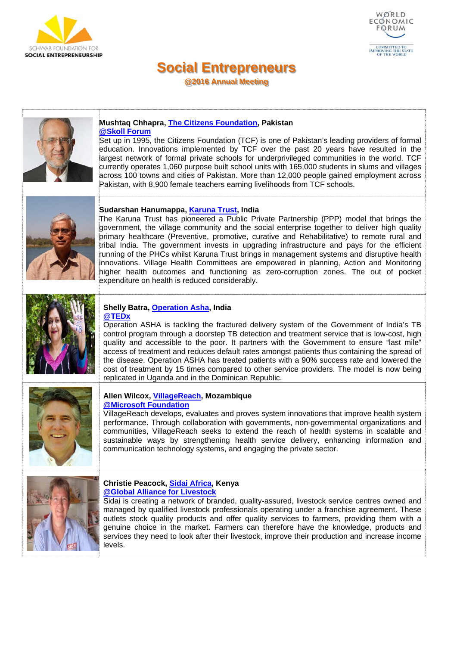



**@2016 Annual Meeting** 



#### **Mushtaq Chhapra, The Citizens Foundation, Pakistan @Skoll Forum**

Set up in 1995, the Citizens Foundation (TCF) is one of Pakistan's leading providers of formal education. Innovations implemented by TCF over the past 20 years have resulted in the largest network of formal private schools for underprivileged communities in the world. TCF currently operates 1,060 purpose built school units with 165,000 students in slums and villages across 100 towns and cities of Pakistan. More than 12,000 people gained employment across Pakistan, with 8,900 female teachers earning livelihoods from TCF schools.



## **Sudarshan Hanumappa, Karuna Trust, India**

The Karuna Trust has pioneered a Public Private Partnership (PPP) model that brings the government, the village community and the social enterprise together to deliver high quality primary healthcare (Preventive, promotive, curative and Rehabilitative) to remote rural and tribal India. The government invests in upgrading infrastructure and pays for the efficient running of the PHCs whilst Karuna Trust brings in management systems and disruptive health innovations. Village Health Committees are empowered in planning, Action and Monitoring higher health outcomes and functioning as zero-corruption zones. The out of pocket expenditure on health is reduced considerably.



#### **Shelly Batra, Operation Asha, India @TEDx**

Operation ASHA is tackling the fractured delivery system of the Government of India's TB control program through a doorstep TB detection and treatment service that is low-cost, high quality and accessible to the poor. It partners with the Government to ensure "last mile" access of treatment and reduces default rates amongst patients thus containing the spread of the disease. Operation ASHA has treated patients with a 90% success rate and lowered the cost of treatment by 15 times compared to other service providers. The model is now being replicated in Uganda and in the Dominican Republic.



### **Allen Wilcox, VillageReach, Mozambique @Microsoft Foundation**

VillageReach develops, evaluates and proves system innovations that improve health system performance. Through collaboration with governments, non-governmental organizations and communities, VillageReach seeks to extend the reach of health systems in scalable and sustainable ways by strengthening health service delivery, enhancing information and communication technology systems, and engaging the private sector.



### **Christie Peacock, Sidai Africa, Kenya @Global Alliance for Livestock**

Sidai is creating a network of branded, quality-assured, livestock service centres owned and managed by qualified livestock professionals operating under a franchise agreement. These outlets stock quality products and offer quality services to farmers, providing them with a genuine choice in the market. Farmers can therefore have the knowledge, products and services they need to look after their livestock, improve their production and increase income levels.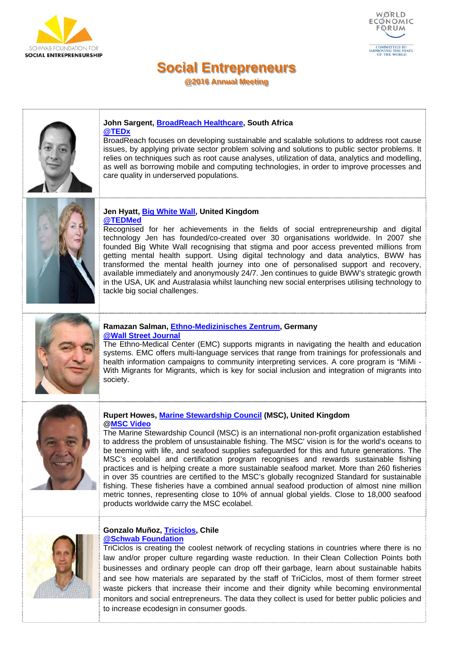



**@2016 Annual Meeting** 



#### **John Sargent, BroadReach Healthcare, South Africa @TEDx**

BroadReach focuses on developing sustainable and scalable solutions to address root cause issues, by applying private sector problem solving and solutions to public sector problems. It relies on techniques such as root cause analyses, utilization of data, analytics and modelling, as well as borrowing mobile and computing technologies, in order to improve processes and care quality in underserved populations.



### **Jen Hyatt, Big White Wall, United Kingdom @TEDMed**

Recognised for her achievements in the fields of social entrepreneurship and digital technology Jen has founded/co-created over 30 organisations worldwide. In 2007 she founded Big White Wall recognising that stigma and poor access prevented millions from getting mental health support. Using digital technology and data analytics, BWW has transformed the mental health journey into one of personalised support and recovery, available immediately and anonymously 24/7. Jen continues to guide BWW's strategic growth in the USA, UK and Australasia whilst launching new social enterprises utilising technology to tackle big social challenges.



## **Ramazan Salman, Ethno-Medizinisches Zentrum, Germany @Wall Street Journal**

The Ethno-Medical Center (EMC) supports migrants in navigating the health and education systems. EMC offers multi-language services that range from trainings for professionals and health information campaigns to community interpreting services. A core program is "MiMi - With Migrants for Migrants, which is key for social inclusion and integration of migrants into society.



## **Rupert Howes, Marine Stewardship Council (MSC), United Kingdom @MSC Video**

The Marine Stewardship Council (MSC) is an international non-profit organization established to address the problem of unsustainable fishing. The MSC' vision is for the world's oceans to be teeming with life, and seafood supplies safeguarded for this and future generations. The MSC's ecolabel and certification program recognises and rewards sustainable fishing practices and is helping create a more sustainable seafood market. More than 260 fisheries in over 35 countries are certified to the MSC's globally recognized Standard for sustainable fishing. These fisheries have a combined annual seafood production of almost nine million metric tonnes, representing close to 10% of annual global yields. Close to 18,000 seafood products worldwide carry the MSC ecolabel.



### **Gonzalo Muñoz, Triciclos, Chile @Schwab Foundation**

TriCiclos is creating the coolest network of recycling stations in countries where there is no law and/or proper culture regarding waste reduction. In their Clean Collection Points both businesses and ordinary people can drop off their garbage, learn about sustainable habits and see how materials are separated by the staff of TriCiclos, most of them former street waste pickers that increase their income and their dignity while becoming environmental monitors and social entrepreneurs. The data they collect is used for better public policies and to increase ecodesign in consumer goods.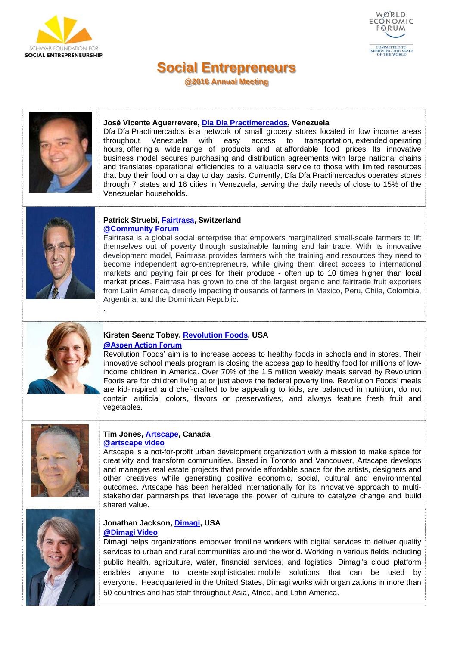



**@2016 Annual Meeting** 



### **José Vicente Aguerrevere, Dia Dia Practimercados, Venezuela**

Día Día Practimercados is a network of small grocery stores located in low income areas throughout Venezuela with easy access to transportation, extended operating hours, offering a wide range of products and at affordable food prices. Its innovative business model secures purchasing and distribution agreements with large national chains and translates operational efficiencies to a valuable service to those with limited resources that buy their food on a day to day basis. Currently, Día Día Practimercados operates stores through 7 states and 16 cities in Venezuela, serving the daily needs of close to 15% of the Venezuelan households.



### **Patrick Struebi, Fairtrasa, Switzerland @Community Forum**

Fairtrasa is a global social enterprise that empowers marginalized small-scale farmers to lift themselves out of poverty through sustainable farming and fair trade. With its innovative development model, Fairtrasa provides farmers with the training and resources they need to become independent agro-entrepreneurs, while giving them direct access to international markets and paying fair prices for their produce - often up to 10 times higher than local market prices. Fairtrasa has grown to one of the largest organic and fairtrade fruit exporters from Latin America, directly impacting thousands of farmers in Mexico, Peru, Chile, Colombia, Argentina, and the Dominican Republic.



# **Kirsten Saenz Tobey, Revolution Foods, USA**

**@Aspen Action Forum**

.

Revolution Foods' aim is to increase access to healthy foods in schools and in stores. Their innovative school meals program is closing the access gap to healthy food for millions of lowincome children in America. Over 70% of the 1.5 million weekly meals served by Revolution Foods are for children living at or just above the federal poverty line. Revolution Foods' meals are kid-inspired and chef-crafted to be appealing to kids, are balanced in nutrition, do not contain artificial colors, flavors or preservatives, and always feature fresh fruit and vegetables.



### **Tim Jones, Artscape, Canada @artscape video**

Artscape is a not-for-profit urban development organization with a mission to make space for creativity and transform communities. Based in Toronto and Vancouver, Artscape develops and manages real estate projects that provide affordable space for the artists, designers and other creatives while generating positive economic, social, cultural and environmental outcomes. Artscape has been heralded internationally for its innovative approach to multistakeholder partnerships that leverage the power of culture to catalyze change and build shared value.



### **Jonathan Jackson, Dimagi, USA @Dimagi Video**

Dimagi helps organizations empower frontline workers with digital services to deliver quality services to urban and rural communities around the world. Working in various fields including public health, agriculture, water, financial services, and logistics, Dimagi's cloud platform enables anyone to create sophisticated mobile solutions that can be used by everyone. Headquartered in the United States, Dimagi works with organizations in more than 50 countries and has staff throughout Asia, Africa, and Latin America.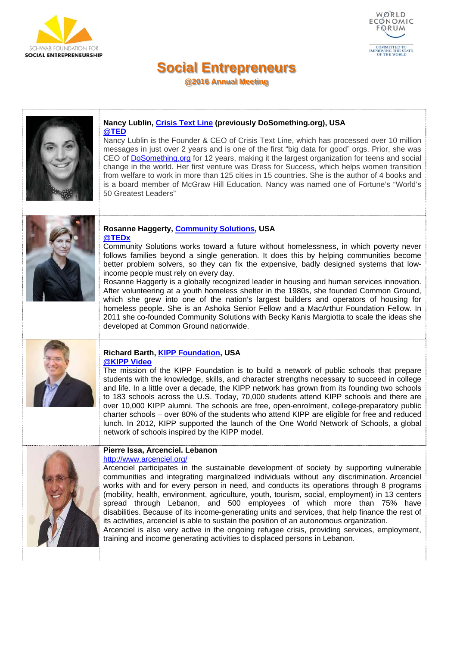



**@2016 Annual Meeting** 



#### **Nancy Lublin, Crisis Text Line (previously DoSomething.org), USA @TED**

Nancy Lublin is the Founder & CEO of Crisis Text Line, which has processed over 10 million messages in just over 2 years and is one of the first "big data for good" orgs. Prior, she was CEO of DoSomething.org for 12 years, making it the largest organization for teens and social change in the world. Her first venture was Dress for Success, which helps women transition from welfare to work in more than 125 cities in 15 countries. She is the author of 4 books and is a board member of McGraw Hill Education. Nancy was named one of Fortune's "World's 50 Greatest Leaders"



### **Rosanne Haggerty, Community Solutions, USA @TEDx**

Community Solutions works toward a future without homelessness, in which poverty never follows families beyond a single generation. It does this by helping communities become better problem solvers, so they can fix the expensive, badly designed systems that lowincome people must rely on every day.

Rosanne Haggerty is a globally recognized leader in housing and human services innovation. After volunteering at a youth homeless shelter in the 1980s, she founded Common Ground, which she grew into one of the nation's largest builders and operators of housing for homeless people. She is an Ashoka Senior Fellow and a MacArthur Foundation Fellow. In 2011 she co-founded Community Solutions with Becky Kanis Margiotta to scale the ideas she developed at Common Ground nationwide.



## **Richard Barth, KIPP Foundation, USA @KIPP Video**

The mission of the KIPP Foundation is to build a network of public schools that prepare students with the knowledge, skills, and character strengths necessary to succeed in college and life. In a little over a decade, the KIPP network has grown from its founding two schools to 183 schools across the U.S. Today, 70,000 students attend KIPP schools and there are over 10,000 KIPP alumni. The schools are free, open-enrolment, college-preparatory public charter schools – over 80% of the students who attend KIPP are eligible for free and reduced lunch. In 2012, KIPP supported the launch of the One World Network of Schools, a global network of schools inspired by the KIPP model.



#### **Pierre Issa, Arcenciel. Lebanon**  http://www.arcenciel.org/

Arcenciel participates in the sustainable development of society by supporting vulnerable communities and integrating marginalized individuals without any discrimination. Arcenciel works with and for every person in need, and conducts its operations through 8 programs (mobility, health, environment, agriculture, youth, tourism, social, employment) in 13 centers spread through Lebanon, and 500 employees of which more than 75% have disabilities. Because of its income-generating units and services, that help finance the rest of its activities, arcenciel is able to sustain the position of an autonomous organization.

Arcenciel is also very active in the ongoing refugee crisis, providing services, employment, training and income generating activities to displaced persons in Lebanon.